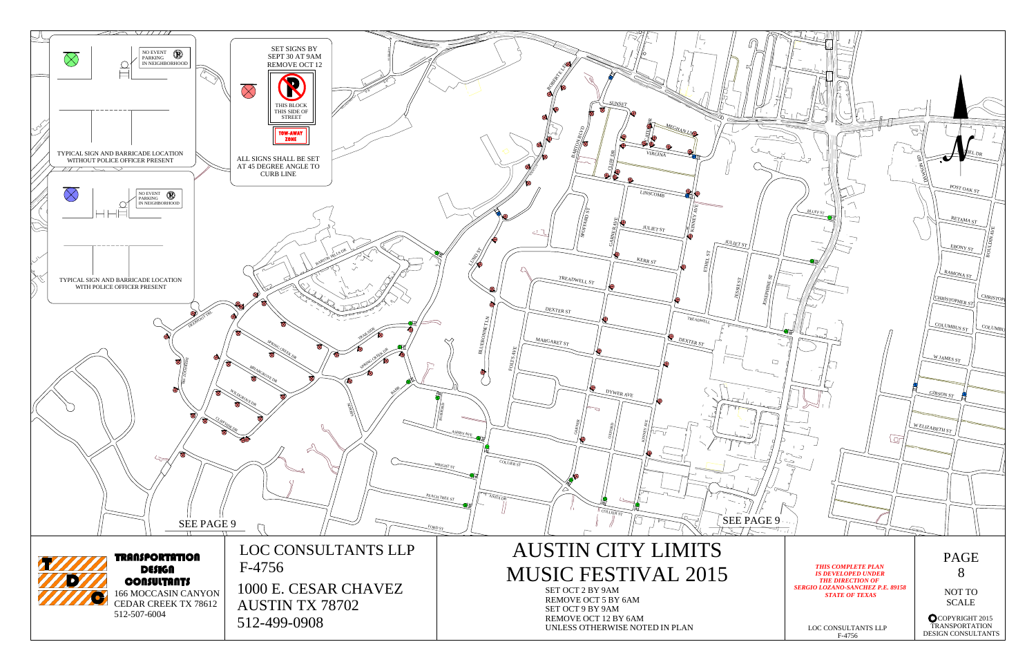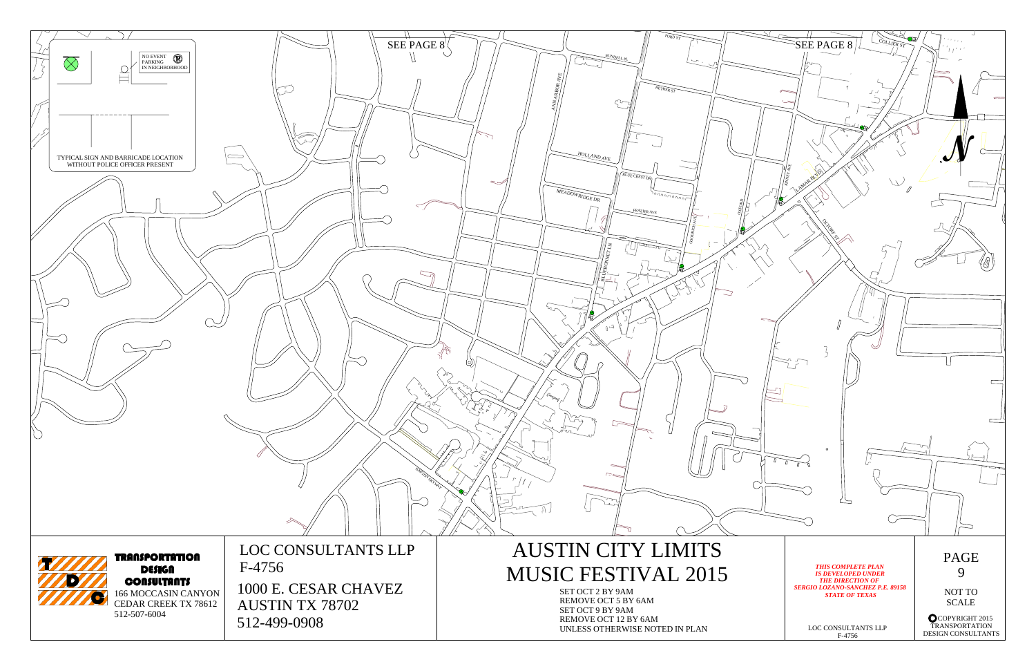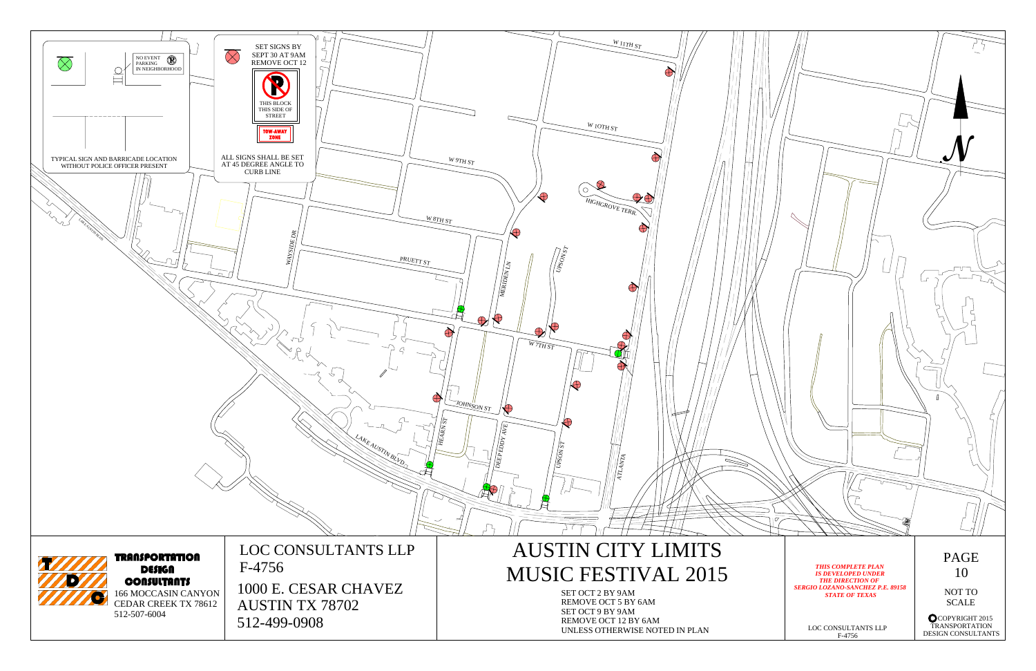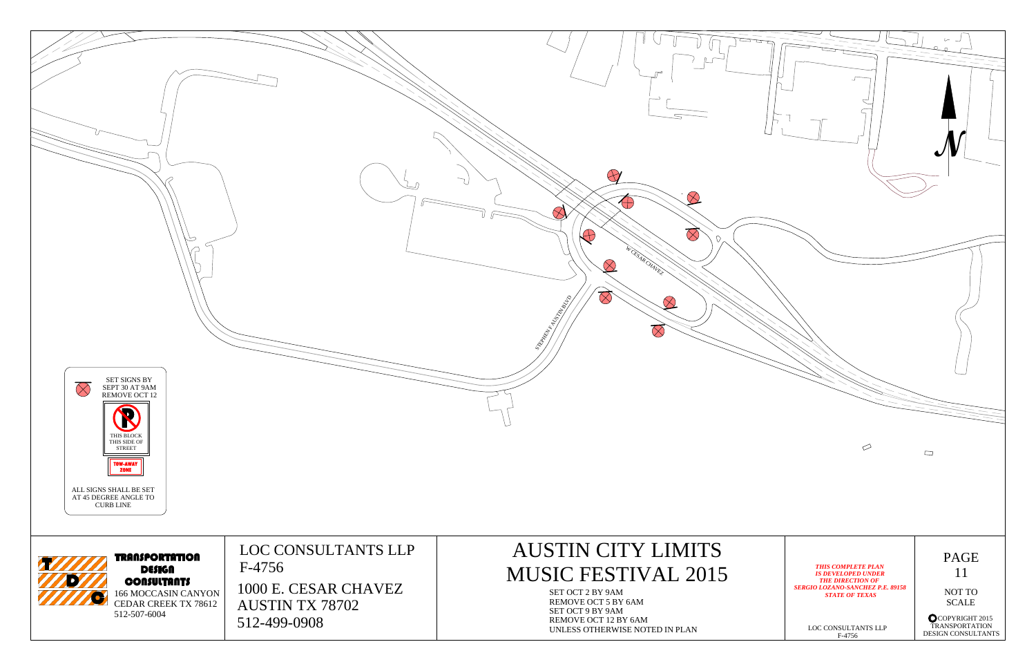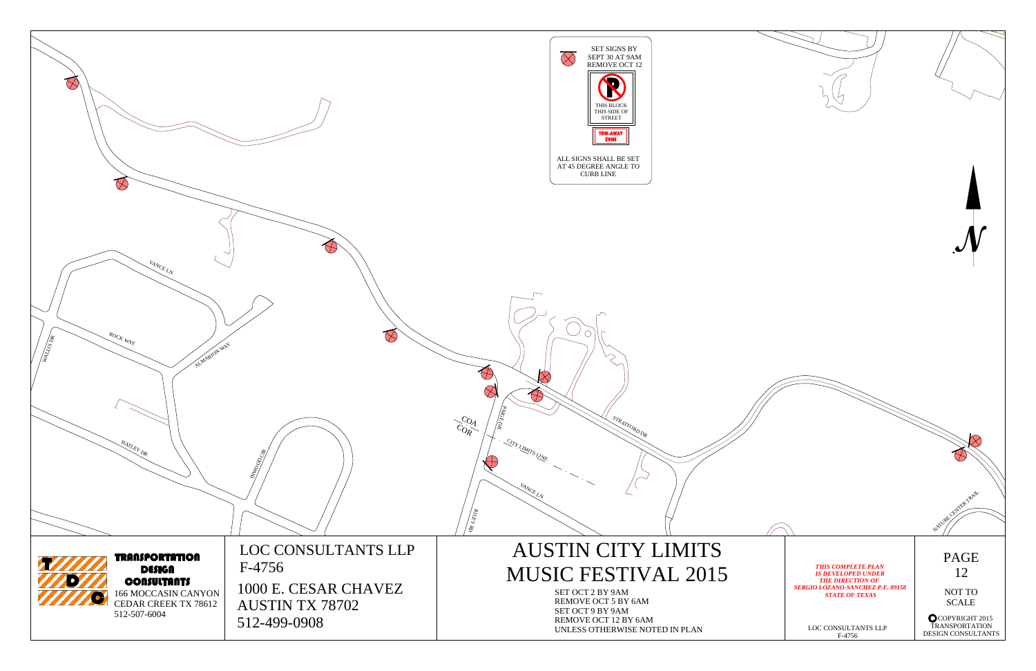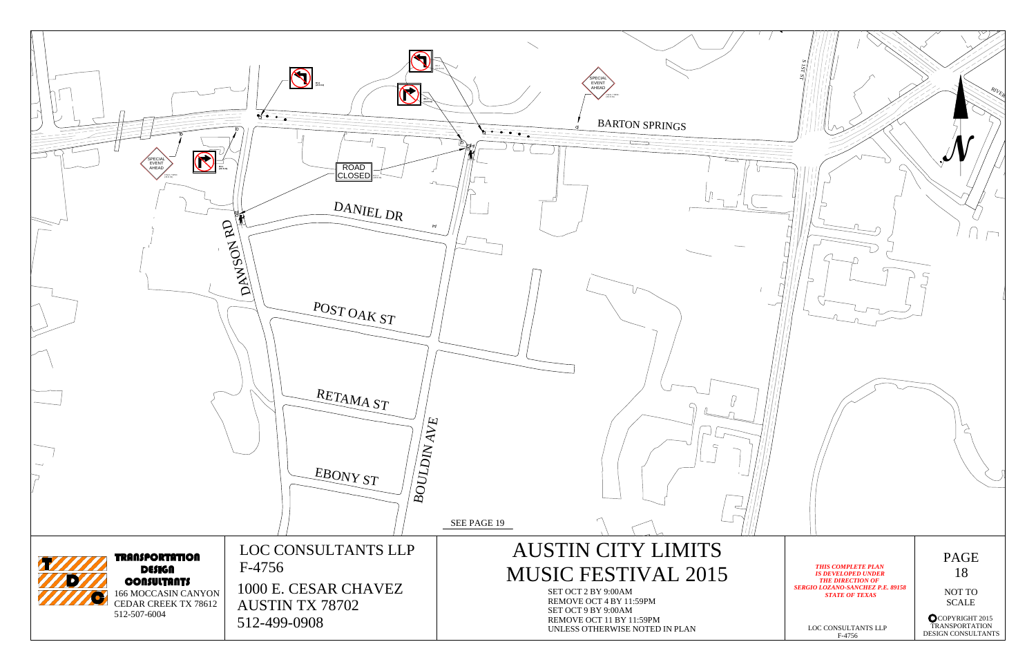